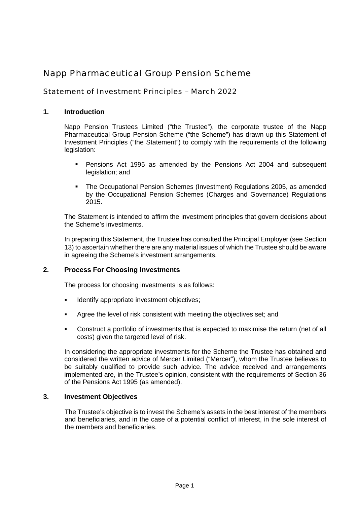# Napp Pharmaceutical Group Pension Scheme

# Statement of Investment Principles – March 2022

## **1. Introduction**

Napp Pension Trustees Limited ("the Trustee"), the corporate trustee of the Napp Pharmaceutical Group Pension Scheme ("the Scheme") has drawn up this Statement of Investment Principles ("the Statement") to comply with the requirements of the following legislation:

- Pensions Act 1995 as amended by the Pensions Act 2004 and subsequent legislation; and
- The Occupational Pension Schemes (Investment) Regulations 2005, as amended by the Occupational Pension Schemes (Charges and Governance) Regulations 2015.

The Statement is intended to affirm the investment principles that govern decisions about the Scheme's investments.

In preparing this Statement, the Trustee has consulted the Principal Employer (see Section 13) to ascertain whether there are any material issues of which the Trustee should be aware in agreeing the Scheme's investment arrangements.

#### **2. Process For Choosing Investments**

The process for choosing investments is as follows:

- **IDENTIFY IDENTIFY IDENTIFY** appropriate investment objectives;
- Agree the level of risk consistent with meeting the objectives set; and
- Construct a portfolio of investments that is expected to maximise the return (net of all costs) given the targeted level of risk.

In considering the appropriate investments for the Scheme the Trustee has obtained and considered the written advice of Mercer Limited ("Mercer"), whom the Trustee believes to be suitably qualified to provide such advice. The advice received and arrangements implemented are, in the Trustee's opinion, consistent with the requirements of Section 36 of the Pensions Act 1995 (as amended).

#### **3. Investment Objectives**

The Trustee's objective is to invest the Scheme's assets in the best interest of the members and beneficiaries, and in the case of a potential conflict of interest, in the sole interest of the members and beneficiaries.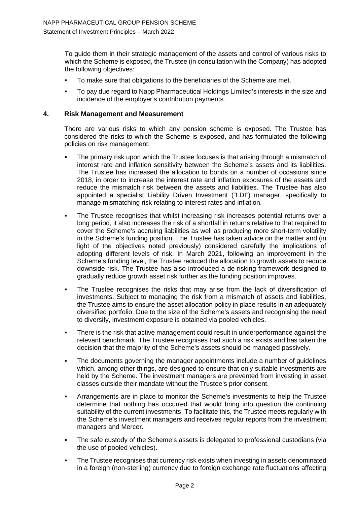To guide them in their strategic management of the assets and control of various risks to which the Scheme is exposed, the Trustee (in consultation with the Company) has adopted the following objectives:

- To make sure that obligations to the beneficiaries of the Scheme are met.
- To pay due regard to Napp Pharmaceutical Holdings Limited's interests in the size and incidence of the employer's contribution payments.

#### **4. Risk Management and Measurement**

There are various risks to which any pension scheme is exposed. The Trustee has considered the risks to which the Scheme is exposed, and has formulated the following policies on risk management:

- The primary risk upon which the Trustee focuses is that arising through a mismatch of interest rate and inflation sensitivity between the Scheme's assets and its liabilities. The Trustee has increased the allocation to bonds on a number of occasions since 2018, in order to increase the interest rate and inflation exposures of the assets and reduce the mismatch risk between the assets and liabilities. The Trustee has also appointed a specialist Liability Driven Investment ("LDI") manager, specifically to manage mismatching risk relating to interest rates and inflation.
- The Trustee recognises that whilst increasing risk increases potential returns over a long period, it also increases the risk of a shortfall in returns relative to that required to cover the Scheme's accruing liabilities as well as producing more short-term volatility in the Scheme's funding position. The Trustee has taken advice on the matter and (in light of the objectives noted previously) considered carefully the implications of adopting different levels of risk. In March 2021, following an improvement in the Scheme's funding level, the Trustee reduced the allocation to growth assets to reduce downside risk. The Trustee has also introduced a de-risking framework designed to gradually reduce growth asset risk further as the funding position improves.
- The Trustee recognises the risks that may arise from the lack of diversification of investments. Subject to managing the risk from a mismatch of assets and liabilities, the Trustee aims to ensure the asset allocation policy in place results in an adequately diversified portfolio. Due to the size of the Scheme's assets and recognising the need to diversify, investment exposure is obtained via pooled vehicles.
- There is the risk that active management could result in underperformance against the relevant benchmark. The Trustee recognises that such a risk exists and has taken the decision that the majority of the Scheme's assets should be managed passively.
- The documents governing the manager appointments include a number of quidelines which, among other things, are designed to ensure that only suitable investments are held by the Scheme. The investment managers are prevented from investing in asset classes outside their mandate without the Trustee's prior consent.
- Arrangements are in place to monitor the Scheme's investments to help the Trustee determine that nothing has occurred that would bring into question the continuing suitability of the current investments. To facilitate this, the Trustee meets regularly with the Scheme's investment managers and receives regular reports from the investment managers and Mercer.
- The safe custody of the Scheme's assets is delegated to professional custodians (via the use of pooled vehicles).
- The Trustee recognises that currency risk exists when investing in assets denominated in a foreign (non-sterling) currency due to foreign exchange rate fluctuations affecting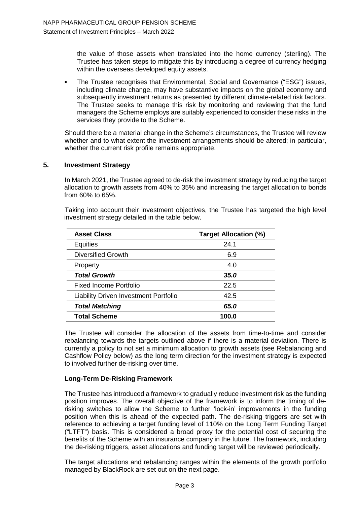the value of those assets when translated into the home currency (sterling). The Trustee has taken steps to mitigate this by introducing a degree of currency hedging within the overseas developed equity assets.

 The Trustee recognises that Environmental, Social and Governance ("ESG") issues, including climate change, may have substantive impacts on the global economy and subsequently investment returns as presented by different climate-related risk factors. The Trustee seeks to manage this risk by monitoring and reviewing that the fund managers the Scheme employs are suitably experienced to consider these risks in the services they provide to the Scheme.

Should there be a material change in the Scheme's circumstances, the Trustee will review whether and to what extent the investment arrangements should be altered; in particular, whether the current risk profile remains appropriate.

#### **5. Investment Strategy**

In March 2021, the Trustee agreed to de-risk the investment strategy by reducing the target allocation to growth assets from 40% to 35% and increasing the target allocation to bonds from 60% to 65%.

Taking into account their investment objectives, the Trustee has targeted the high level investment strategy detailed in the table below.

| <b>Asset Class</b>                           | <b>Target Allocation (%)</b> |
|----------------------------------------------|------------------------------|
| <b>Equities</b>                              | 24.1                         |
| Diversified Growth                           | 6.9                          |
| Property                                     | 4.0                          |
| <b>Total Growth</b>                          | 35.0                         |
| Fixed Income Portfolio                       | 22.5                         |
| <b>Liability Driven Investment Portfolio</b> | 42.5                         |
| <b>Total Matching</b>                        | 65.0                         |
| <b>Total Scheme</b>                          | 100.0                        |

The Trustee will consider the allocation of the assets from time-to-time and consider rebalancing towards the targets outlined above if there is a material deviation. There is currently a policy to not set a minimum allocation to growth assets (see Rebalancing and Cashflow Policy below) as the long term direction for the investment strategy is expected to involved further de-risking over time.

#### **Long-Term De-Risking Framework**

The Trustee has introduced a framework to gradually reduce investment risk as the funding position improves. The overall objective of the framework is to inform the timing of derisking switches to allow the Scheme to further 'lock-in' improvements in the funding position when this is ahead of the expected path. The de-risking triggers are set with reference to achieving a target funding level of 110% on the Long Term Funding Target ("LTFT") basis. This is considered a broad proxy for the potential cost of securing the benefits of the Scheme with an insurance company in the future. The framework, including the de-risking triggers, asset allocations and funding target will be reviewed periodically.

The target allocations and rebalancing ranges within the elements of the growth portfolio managed by BlackRock are set out on the next page.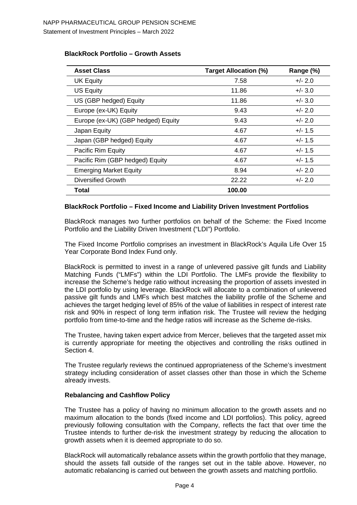|  |  | <b>BlackRock Portfolio - Growth Assets</b> |
|--|--|--------------------------------------------|
|--|--|--------------------------------------------|

| <b>Asset Class</b>                 | <b>Target Allocation (%)</b> | Range (%) |
|------------------------------------|------------------------------|-----------|
| UK Equity                          | 7.58                         | $+/- 2.0$ |
| US Equity                          | 11.86                        | $+/- 3.0$ |
| US (GBP hedged) Equity             | 11.86                        | $+/- 3.0$ |
| Europe (ex-UK) Equity              | 9.43                         | $+/- 2.0$ |
| Europe (ex-UK) (GBP hedged) Equity | 9.43                         | $+/- 2.0$ |
| Japan Equity                       | 4.67                         | $+/- 1.5$ |
| Japan (GBP hedged) Equity          | 4.67                         | $+/- 1.5$ |
| Pacific Rim Equity                 | 4.67                         | $+/- 1.5$ |
| Pacific Rim (GBP hedged) Equity    | 4.67                         | $+/- 1.5$ |
| <b>Emerging Market Equity</b>      | 8.94                         | $+/- 2.0$ |
| <b>Diversified Growth</b>          | 22.22                        | $+/- 2.0$ |
| Total                              | 100.00                       |           |

#### **BlackRock Portfolio – Fixed Income and Liability Driven Investment Portfolios**

BlackRock manages two further portfolios on behalf of the Scheme: the Fixed Income Portfolio and the Liability Driven Investment ("LDI") Portfolio.

The Fixed Income Portfolio comprises an investment in BlackRock's Aquila Life Over 15 Year Corporate Bond Index Fund only.

BlackRock is permitted to invest in a range of unlevered passive gilt funds and Liability Matching Funds ("LMFs") within the LDI Portfolio. The LMFs provide the flexibility to increase the Scheme's hedge ratio without increasing the proportion of assets invested in the LDI portfolio by using leverage. BlackRock will allocate to a combination of unlevered passive gilt funds and LMFs which best matches the liability profile of the Scheme and achieves the target hedging level of 85% of the value of liabilities in respect of interest rate risk and 90% in respect of long term inflation risk. The Trustee will review the hedging portfolio from time-to-time and the hedge ratios will increase as the Scheme de-risks.

The Trustee, having taken expert advice from Mercer, believes that the targeted asset mix is currently appropriate for meeting the objectives and controlling the risks outlined in Section 4.

The Trustee regularly reviews the continued appropriateness of the Scheme's investment strategy including consideration of asset classes other than those in which the Scheme already invests.

#### **Rebalancing and Cashflow Policy**

The Trustee has a policy of having no minimum allocation to the growth assets and no maximum allocation to the bonds (fixed income and LDI portfolios). This policy, agreed previously following consultation with the Company, reflects the fact that over time the Trustee intends to further de-risk the investment strategy by reducing the allocation to growth assets when it is deemed appropriate to do so.

BlackRock will automatically rebalance assets within the growth portfolio that they manage, should the assets fall outside of the ranges set out in the table above. However, no automatic rebalancing is carried out between the growth assets and matching portfolio.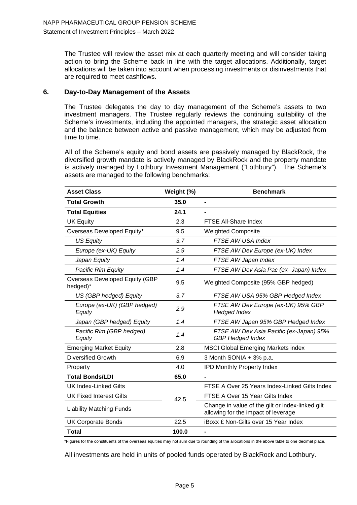The Trustee will review the asset mix at each quarterly meeting and will consider taking action to bring the Scheme back in line with the target allocations. Additionally, target allocations will be taken into account when processing investments or disinvestments that are required to meet cashflows.

## **6. Day-to-Day Management of the Assets**

The Trustee delegates the day to day management of the Scheme's assets to two investment managers. The Trustee regularly reviews the continuing suitability of the Scheme's investments, including the appointed managers, the strategic asset allocation and the balance between active and passive management, which may be adjusted from time to time.

All of the Scheme's equity and bond assets are passively managed by BlackRock, the diversified growth mandate is actively managed by BlackRock and the property mandate is actively managed by Lothbury Investment Management ("Lothbury"). The Scheme's assets are managed to the following benchmarks:

| <b>Asset Class</b>                         | Weight (%) | <b>Benchmark</b>                                                                        |
|--------------------------------------------|------------|-----------------------------------------------------------------------------------------|
| <b>Total Growth</b>                        | 35.0       | $\blacksquare$                                                                          |
| <b>Total Equities</b>                      | 24.1       | $\blacksquare$                                                                          |
| <b>UK Equity</b>                           | 2.3        | FTSE All-Share Index                                                                    |
| Overseas Developed Equity*                 | 9.5        | <b>Weighted Composite</b>                                                               |
| <b>US Equity</b>                           | 3.7        | FTSE AW USA Index                                                                       |
| Europe (ex-UK) Equity                      | 2.9        | FTSE AW Dev Europe (ex-UK) Index                                                        |
| Japan Equity                               | 1.4        | FTSE AW Japan Index                                                                     |
| Pacific Rim Equity                         | 1.4        | FTSE AW Dev Asia Pac (ex- Japan) Index                                                  |
| Overseas Developed Equity (GBP<br>hedged)* | 9.5        | Weighted Composite (95% GBP hedged)                                                     |
| US (GBP hedged) Equity                     | 3.7        | FTSE AW USA 95% GBP Hedged Index                                                        |
| Europe (ex-UK) (GBP hedged)<br>Equity      | 2.9        | FTSE AW Dev Europe (ex-UK) 95% GBP<br><b>Hedged Index</b>                               |
| Japan (GBP hedged) Equity                  | 1.4        | FTSE AW Japan 95% GBP Hedged Index                                                      |
| Pacific Rim (GBP hedged)<br>Equity         | 1.4        | FTSE AW Dev Asia Pacific (ex-Japan) 95%<br><b>GBP Hedged Index</b>                      |
| <b>Emerging Market Equity</b>              | 2.8        | <b>MSCI Global Emerging Markets index</b>                                               |
| <b>Diversified Growth</b>                  | 6.9        | 3 Month SONIA + 3% p.a.                                                                 |
| Property                                   | 4.0        | <b>IPD Monthly Property Index</b>                                                       |
| <b>Total Bonds/LDI</b>                     | 65.0       |                                                                                         |
| <b>UK Index-Linked Gilts</b>               |            | FTSE A Over 25 Years Index-Linked Gilts Index                                           |
| <b>UK Fixed Interest Gilts</b>             | 42.5       | FTSE A Over 15 Year Gilts Index                                                         |
| <b>Liability Matching Funds</b>            |            | Change in value of the gilt or index-linked gilt<br>allowing for the impact of leverage |
| <b>UK Corporate Bonds</b>                  | 22.5       | <b>iBoxx £ Non-Gilts over 15 Year Index</b>                                             |
| Total                                      | 100.0      | $\blacksquare$                                                                          |

\*Figures for the constituents of the overseas equities may not sum due to rounding of the allocations in the above table to one decimal place.

All investments are held in units of pooled funds operated by BlackRock and Lothbury.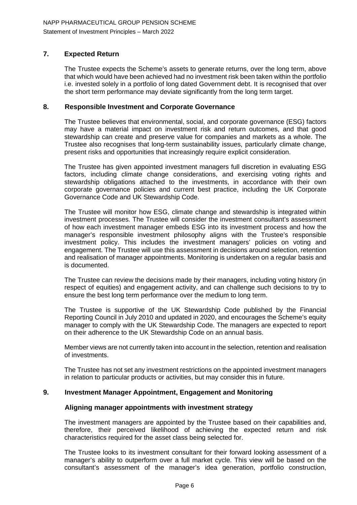# **7. Expected Return**

The Trustee expects the Scheme's assets to generate returns, over the long term, above that which would have been achieved had no investment risk been taken within the portfolio i.e. invested solely in a portfolio of long dated Government debt. It is recognised that over the short term performance may deviate significantly from the long term target.

#### **8. Responsible Investment and Corporate Governance**

The Trustee believes that environmental, social, and corporate governance (ESG) factors may have a material impact on investment risk and return outcomes, and that good stewardship can create and preserve value for companies and markets as a whole. The Trustee also recognises that long-term sustainability issues, particularly climate change, present risks and opportunities that increasingly require explicit consideration.

The Trustee has given appointed investment managers full discretion in evaluating ESG factors, including climate change considerations, and exercising voting rights and stewardship obligations attached to the investments, in accordance with their own corporate governance policies and current best practice, including the UK Corporate Governance Code and UK Stewardship Code.

The Trustee will monitor how ESG, climate change and stewardship is integrated within investment processes. The Trustee will consider the investment consultant's assessment of how each investment manager embeds ESG into its investment process and how the manager's responsible investment philosophy aligns with the Trustee's responsible investment policy. This includes the investment managers' policies on voting and engagement. The Trustee will use this assessment in decisions around selection, retention and realisation of manager appointments. Monitoring is undertaken on a regular basis and is documented.

The Trustee can review the decisions made by their managers, including voting history (in respect of equities) and engagement activity, and can challenge such decisions to try to ensure the best long term performance over the medium to long term.

The Trustee is supportive of the UK Stewardship Code published by the Financial Reporting Council in July 2010 and updated in 2020, and encourages the Scheme's equity manager to comply with the UK Stewardship Code. The managers are expected to report on their adherence to the UK Stewardship Code on an annual basis.

Member views are not currently taken into account in the selection, retention and realisation of investments.

The Trustee has not set any investment restrictions on the appointed investment managers in relation to particular products or activities, but may consider this in future.

#### **9. Investment Manager Appointment, Engagement and Monitoring**

#### **Aligning manager appointments with investment strategy**

The investment managers are appointed by the Trustee based on their capabilities and, therefore, their perceived likelihood of achieving the expected return and risk characteristics required for the asset class being selected for.

The Trustee looks to its investment consultant for their forward looking assessment of a manager's ability to outperform over a full market cycle. This view will be based on the consultant's assessment of the manager's idea generation, portfolio construction,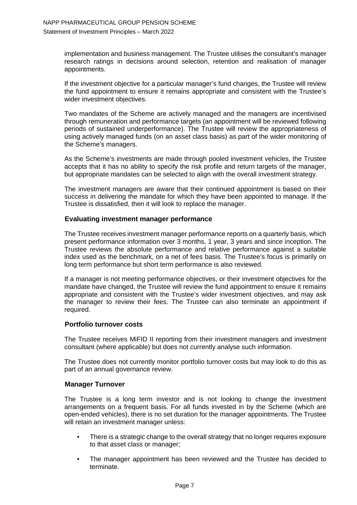implementation and business management. The Trustee utilises the consultant's manager research ratings in decisions around selection, retention and realisation of manager appointments.

If the investment objective for a particular manager's fund changes, the Trustee will review the fund appointment to ensure it remains appropriate and consistent with the Trustee's wider investment objectives.

Two mandates of the Scheme are actively managed and the managers are incentivised through remuneration and performance targets (an appointment will be reviewed following periods of sustained underperformance). The Trustee will review the appropriateness of using actively managed funds (on an asset class basis) as part of the wider monitoring of the Scheme's managers.

As the Scheme's investments are made through pooled investment vehicles, the Trustee accepts that it has no ability to specify the risk profile and return targets of the manager, but appropriate mandates can be selected to align with the overall investment strategy.

The investment managers are aware that their continued appointment is based on their success in delivering the mandate for which they have been appointed to manage. If the Trustee is dissatisfied, then it will look to replace the manager.

#### **Evaluating investment manager performance**

The Trustee receives investment manager performance reports on a quarterly basis, which present performance information over 3 months, 1 year, 3 years and since inception. The Trustee reviews the absolute performance and relative performance against a suitable index used as the benchmark, on a net of fees basis. The Trustee's focus is primarily on long term performance but short term performance is also reviewed.

If a manager is not meeting performance objectives, or their investment objectives for the mandate have changed, the Trustee will review the fund appointment to ensure it remains appropriate and consistent with the Trustee's wider investment objectives, and may ask the manager to review their fees. The Trustee can also terminate an appointment if required.

## **Portfolio turnover costs**

The Trustee receives MiFID II reporting from their investment managers and investment consultant (where applicable) but does not currently analyse such information.

The Trustee does not currently monitor portfolio turnover costs but may look to do this as part of an annual governance review.

#### **Manager Turnover**

The Trustee is a long term investor and is not looking to change the investment arrangements on a frequent basis. For all funds invested in by the Scheme (which are open-ended vehicles), there is no set duration for the manager appointments. The Trustee will retain an investment manager unless:

- There is a strategic change to the overall strategy that no longer requires exposure to that asset class or manager;
- The manager appointment has been reviewed and the Trustee has decided to terminate.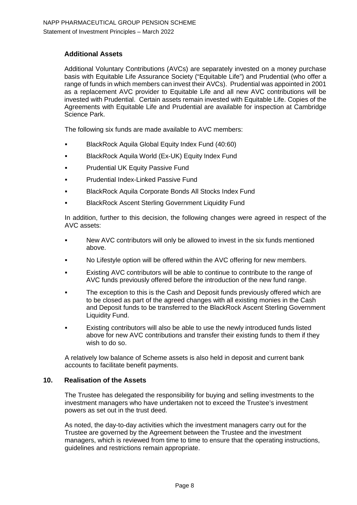# **Additional Assets**

Additional Voluntary Contributions (AVCs) are separately invested on a money purchase basis with Equitable Life Assurance Society ("Equitable Life") and Prudential (who offer a range of funds in which members can invest their AVCs). Prudential was appointed in 2001 as a replacement AVC provider to Equitable Life and all new AVC contributions will be invested with Prudential. Certain assets remain invested with Equitable Life. Copies of the Agreements with Equitable Life and Prudential are available for inspection at Cambridge Science Park.

The following six funds are made available to AVC members:

- BlackRock Aquila Global Equity Index Fund (40:60)
- BlackRock Aquila World (Ex-UK) Equity Index Fund
- Prudential UK Equity Passive Fund
- Prudential Index-Linked Passive Fund
- BlackRock Aquila Corporate Bonds All Stocks Index Fund
- BlackRock Ascent Sterling Government Liquidity Fund

In addition, further to this decision, the following changes were agreed in respect of the AVC assets:

- New AVC contributors will only be allowed to invest in the six funds mentioned above.
- No Lifestyle option will be offered within the AVC offering for new members.
- Existing AVC contributors will be able to continue to contribute to the range of AVC funds previously offered before the introduction of the new fund range.
- The exception to this is the Cash and Deposit funds previously offered which are to be closed as part of the agreed changes with all existing monies in the Cash and Deposit funds to be transferred to the BlackRock Ascent Sterling Government Liquidity Fund.
- Existing contributors will also be able to use the newly introduced funds listed above for new AVC contributions and transfer their existing funds to them if they wish to do so.

A relatively low balance of Scheme assets is also held in deposit and current bank accounts to facilitate benefit payments.

#### **10. Realisation of the Assets**

The Trustee has delegated the responsibility for buying and selling investments to the investment managers who have undertaken not to exceed the Trustee's investment powers as set out in the trust deed.

As noted, the day-to-day activities which the investment managers carry out for the Trustee are governed by the Agreement between the Trustee and the investment managers, which is reviewed from time to time to ensure that the operating instructions, guidelines and restrictions remain appropriate.